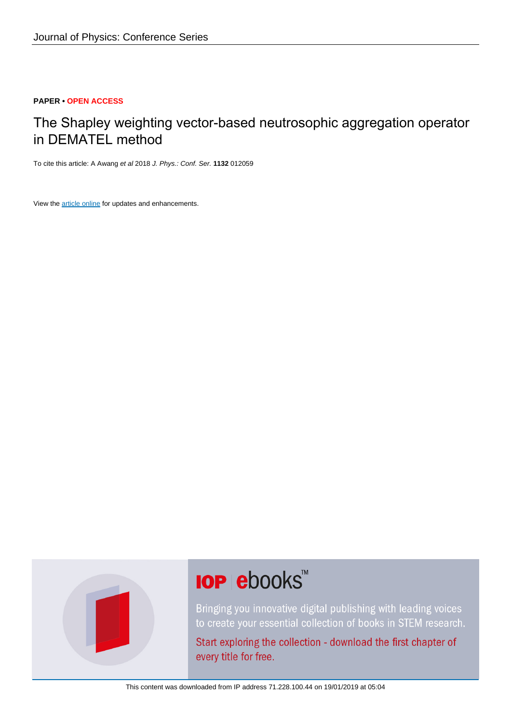#### **PAPER • OPEN ACCESS**

# The Shapley weighting vector-based neutrosophic aggregation operator in DEMATEL method

To cite this article: A Awang et al 2018 J. Phys.: Conf. Ser. **1132** 012059

View the [article online](https://doi.org/10.1088/1742-6596/1132/1/012059) for updates and enhancements.



# **IOP ebooks**™

Bringing you innovative digital publishing with leading voices to create your essential collection of books in STEM research.

Start exploring the collection - download the first chapter of every title for free.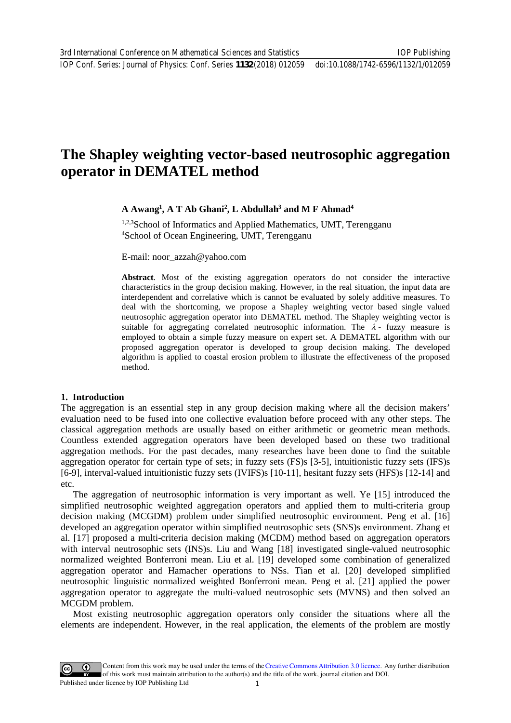# **The Shapley weighting vector-based neutrosophic aggregation operator in DEMATEL method**

# **A Awang1 , A T Ab Ghani2 , L Abdullah3 and M F Ahmad4**

1,2,3School of Informatics and Applied Mathematics, UMT, Terengganu 4 School of Ocean Engineering, UMT, Terengganu

E-mail: noor\_azzah@yahoo.com

**Abstract**. Most of the existing aggregation operators do not consider the interactive charact[eristics in the group decision](mailto:noor_azzah@yahoo.com) making. However, in the real situation, the input data are interdependent and correlative which is cannot be evaluated by solely additive measures. To deal with the shortcoming, we propose a Shapley weighting vector based single valued neutrosophic aggregation operator into DEMATEL method. The Shapley weighting vector is suitable for aggregating correlated neutrosophic information. The  $\lambda$ - fuzzy measure is employed to obtain a simple fuzzy measure on expert set. A DEMATEL algorithm with our proposed aggregation operator is developed to group decision making. The developed algorithm is applied to coastal erosion problem to illustrate the effectiveness of the proposed method.

## **1. Introduction**

The aggregation is an essential step in any group decision making where all the decision makers' evaluation need to be fused into one collective evaluation before proceed with any other steps. The classical aggregation methods are usually based on either arithmetic or geometric mean methods. Countless extended aggregation operators have been developed based on these two traditional aggregation methods. For the past decades, many researches have been done to find the suitable aggregation operator for certain type of sets; in fuzzy sets (FS)s [3-5], intuitionistic fuzzy sets (IFS)s [6-9], interval-valued intuitionistic fuzzy sets (IVIFS)s [10-11], hesitant fuzzy sets (HFS)s [12-14] and etc.

The aggregation of neutrosophic information is very important as well. Ye [15] introduced the simplified neutrosophic weighted aggregation operators and applied them to multi-criteria group decision making (MCGDM) problem under simplified neutrosophic environment. Peng et al. [16] developed an aggregation operator within simplified neutrosophic sets (SNS)s environment. Zhang et al. [17] proposed a multi-criteria decision making (MCDM) method based on aggregation operators with interval neutrosophic sets (INS)s. Liu and Wang [18] investigated single-valued neutrosophic normalized weighted Bonferroni mean. Liu et al. [19] developed some combination of generalized aggregation operator and Hamacher operations to NSs. Tian et al. [20] developed simplified neutrosophic linguistic normalized weighted Bonferroni mean. Peng et al. [21] applied the power aggregation operator to aggregate the multi-valued neutrosophic sets (MVNS) and then solved an MCGDM problem.

Most existing neutrosophic aggregation operators only consider the situations where all the elements are independent. However, in the real application, the elements of the problem are mostly

Content from this work may be used under the terms of the[Creative Commons Attribution 3.0 licence.](http://creativecommons.org/licenses/by/3.0) Any further distribution of this work must maintain attribution to the author(s) and the title of the work, journal citation and DOI. Published under licence by IOP Publishing Ltd 1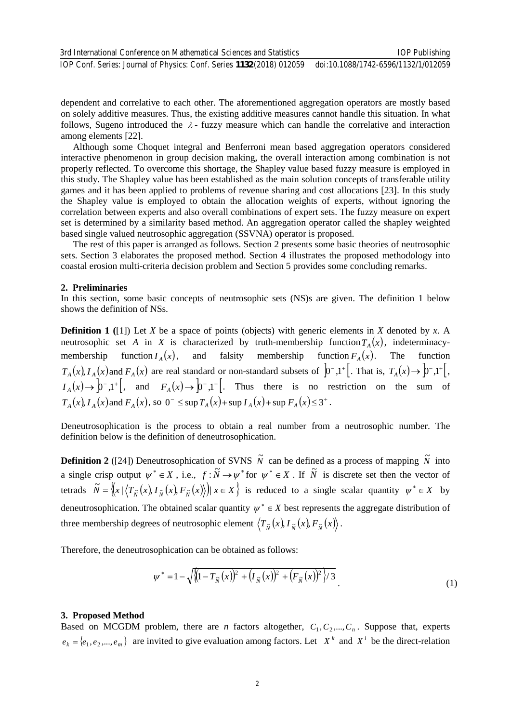dependent and correlative to each other. The aforementioned aggregation operators are mostly based on solely additive measures. Thus, the existing additive measures cannot handle this situation. In what follows, Sugeno introduced the  $\lambda$ - fuzzy measure which can handle the correlative and interaction among elements [22].

Although some Choquet integral and Benferroni mean based aggregation operators considered interactive phenomenon in group decision making, the overall interaction among combination is not properly reflected. To overcome this shortage, the Shapley value based fuzzy measure is employed in this study. The Shapley value has been established as the main solution concepts of transferable utility games and it has been applied to problems of revenue sharing and cost allocations [23]. In this study the Shapley value is employed to obtain the allocation weights of experts, without ignoring the correlation between experts and also overall combinations of expert sets. The fuzzy measure on expert set is determined by a similarity based method. An aggregation operator called the shapley weighted based single valued neutrosophic aggregation (SSVNA) operator is proposed.

The rest of this paper is arranged as follows. Section 2 presents some basic theories of neutrosophic sets. Section 3 elaborates the proposed method. Section 4 illustrates the proposed methodology into coastal erosion multi-criteria decision problem and Section 5 provides some concluding remarks.

#### **2. Preliminaries**

In this section, some basic concepts of neutrosophic sets (NS)s are given. The definition 1 below shows the definition of NSs.

**Definition 1 (**[1]) Let *X* be a space of points (objects) with generic elements in *X* denoted by *x*. A neutrosophic set *A* in *X* is characterized by truth-membership function  $T_A(x)$ , indeterminacymembership function  $I_A(x)$ , and falsity membership function  $F_A(x)$ . The function  $T_A(x)$ ,  $I_A(x)$  and  $F_A(x)$  are real standard or non-standard subsets of  $\left[\n\begin{array}{c}\n0\\
\end{array}\right]$ , That is,  $T_A(x) \rightarrow \left[\n\begin{array}{c}\n0\\
\end{array}\right]$ ,  $T^{\dagger}$ ,  $I_A(x) \to 0^-$ ,1<sup>+</sup>, and  $F_A(x) \to 0^-$ ,1<sup>+</sup>, Thus there is no restriction on the sum of  $T_A(x)$ ,  $I_A(x)$  and  $F_A(x)$ , so  $0^- \leq \sup T_A(x) + \sup I_A(x) + \sup F_A(x) \leq 3^+$ .

Deneutrosophication is the process to obtain a real number from a neutrosophic number. The definition below is the definition of deneutrosophication.

**Definition 2** ([24]) Deneutrosophication of SVNS  $\tilde{N}$  can be defined as a process of mapping  $\tilde{N}$  into a single crisp output  $\psi^* \in X$ , i.e.,  $f : \tilde{N} \to \psi^*$  for  $\psi^* \in X$ . If  $\tilde{N}$  is discrete set then the vector of tetrads  $\widetilde{N} = \left\{ (x | (T_{\widetilde{N}}(x), I_{\widetilde{N}}(x), F_{\widetilde{N}}(x))) | x \in X \right\}$  is reduced to a single scalar quantity  $\psi^* \in X$  by deneutrosophication. The obtained scalar quantity  $\psi^* \in X$  best represents the aggregate distribution of three membership degrees of neutrosophic element  $\langle T_{\tilde{N}}(x), I_{\tilde{N}}(x), F_{\tilde{N}}(x) \rangle$ .

Therefore, the deneutrosophication can be obtained as follows:

$$
\psi^* = 1 - \sqrt{\left(1 - T_{\tilde{N}}(x)\right)^2 + \left(I_{\tilde{N}}(x)\right)^2 + \left(F_{\tilde{N}}(x)\right)^2\right)/3}
$$
\n(1)

#### **3. Proposed Method**

Based on MCGDM problem, there are *n* factors altogether,  $C_1, C_2, ..., C_n$ . Suppose that, experts  $e_k = \{e_1, e_2, \dots, e_m\}$  are invited to give evaluation among factors. Let *X*<sup>*k*</sup> and *X<sup><sup>1</sup>* be the direct-relation</sup>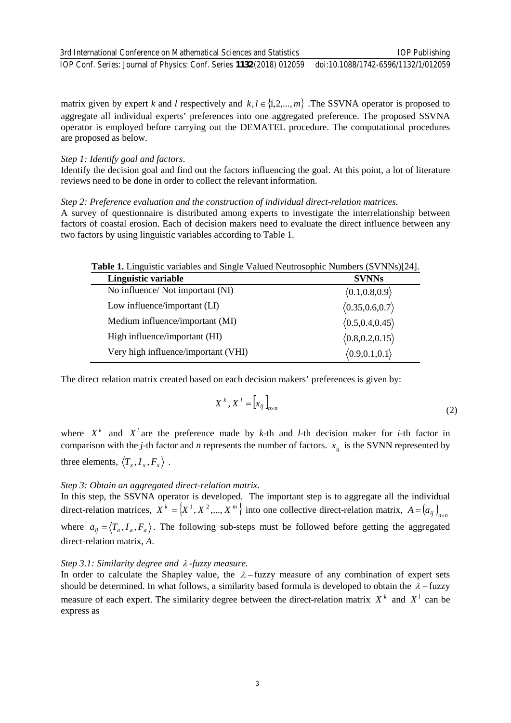matrix given by expert *k* and *l* respectively and  $k, l \in \{1, 2, ..., m\}$ . The SSVNA operator is proposed to aggregate all individual experts' preferences into one aggregated preference. The proposed SSVNA operator is employed before carrying out the DEMATEL procedure. The computational procedures are proposed as below.

#### *Step 1: Identify goal and factors*.

Identify the decision goal and find out the factors influencing the goal. At this point, a lot of literature reviews need to be done in order to collect the relevant information.

*Step 2: Preference evaluation and the construction of individual direct-relation matrices.*

A survey of questionnaire is distributed among experts to investigate the interrelationship between factors of coastal erosion. Each of decision makers need to evaluate the direct influence between any two factors by using linguistic variables according to Table 1.

|  | <b>Table 1.</b> Linguistic variables and Single Valued Neutrosophic Numbers (SVNNs)[24]. |
|--|------------------------------------------------------------------------------------------|
|  |                                                                                          |

| Linguistic variable                 | <b>SVNNs</b>                    |
|-------------------------------------|---------------------------------|
| No influence/ Not important (NI)    | $\langle 0.1, 0.8, 0.9 \rangle$ |
| Low influence/important (LI)        | (0.35, 0.6, 0.7)                |
| Medium influence/important (MI)     | (0.5, 0.4, 0.45)                |
| High influence/important (HI)       | (0.8, 0.2, 0.15)                |
| Very high influence/important (VHI) | $\langle 0.9, 0.1, 0.1 \rangle$ |

The direct relation matrix created based on each decision makers' preferences is given by:

$$
X^k, X^l = \left[ x_{ij} \right]_{n \times n} \tag{2}
$$

where  $X^k$  and  $X^l$  are the preference made by  $k$ -th and  $l$ -th decision maker for  $i$ -th factor in comparison with the *j*-th factor and *n* represents the number of factors.  $x_{ij}$  is the SVNN represented by three elements,  $\langle T_x, I_x, F_x \rangle$ .

## *Step 3: Obtain an aggregated direct-relation matrix.*

In this step, the SSVNA operator is developed. The important step is to aggregate all the individual direct-relation matrices,  $X^k = \{X^1, X^2, ..., X^m\}$  into one collective direct-relation matrix,  $A = (a_{ij})_{n \times n}$ where  $a_{ij} = \langle T_a, I_a, F_a \rangle$ . The following sub-steps must be followed before getting the aggregated direct-relation matrix, *A*.

## *Step 3.1: Similarity degree and* <sup>λ</sup> *-fuzzy measure.*

In order to calculate the Shapley value, the  $\lambda$  – fuzzy measure of any combination of expert sets should be determined. In what follows, a similarity based formula is developed to obtain the  $\lambda$  − fuzzy measure of each expert. The similarity degree between the direct-relation matrix  $X^k$  and  $X^l$  can be express as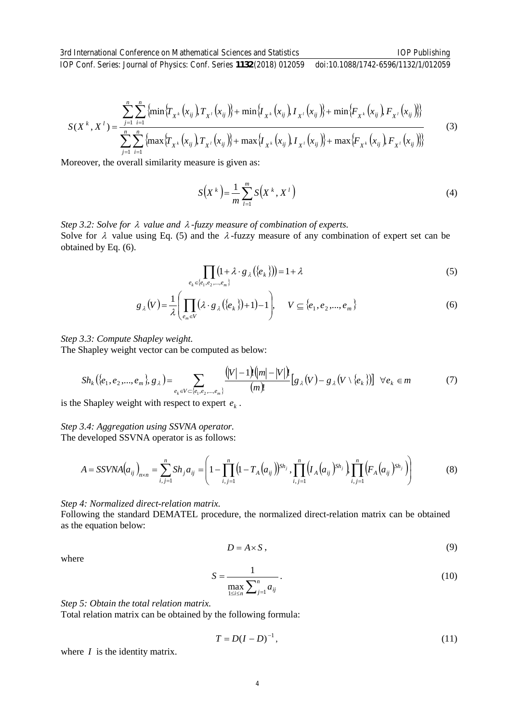IOP Conf. Series: Journal of Physics: Conf. Series **1132** (2018) 012059 doi:10.1088/1742-6596/1132/1/012059

$$
S(X^{k}, X^{l}) = \frac{\sum_{j=1}^{n} \sum_{i=1}^{n} \left\{ \min \left\{ T_{X^{k}}(x_{ij}) T_{X^{l}}(x_{ij}) \right\} + \min \left\{ T_{X^{k}}(x_{ij}) T_{X^{l}}(x_{ij}) \right\} + \min \left\{ F_{X^{k}}(x_{ij}) T_{X^{l}}(x_{ij}) \right\} \right\}}{\sum_{j=1}^{n} \sum_{i=1}^{n} \left\{ \max \left\{ T_{X^{k}}(x_{ij}) T_{X^{l}}(x_{ij}) \right\} + \max \left\{ T_{X^{k}}(x_{ij}) T_{X^{l}}(x_{ij}) \right\} + \max \left\{ F_{X^{k}}(x_{ij}) T_{X^{l}}(x_{ij}) \right\} \right\}}
$$
(3)

Moreover, the overall similarity measure is given as:

$$
S(X^k) = \frac{1}{m} \sum_{l=1}^{m} S(X^k, X^l)
$$
 (4)

*Step 3.2: Solve for* <sup>λ</sup> *value and* <sup>λ</sup> *-fuzzy measure of combination of experts.*  Solve for  $\lambda$  value using Eq. (5) and the  $\lambda$ -fuzzy measure of any combination of expert set can be obtained by Eq. (6).

$$
\prod_{e_k \in \{e_1, e_2, \dots, e_m\}} (1 + \lambda \cdot g_\lambda(\{e_k\})) = 1 + \lambda
$$
\n<sup>(5)</sup>

$$
g_{\lambda}(V) = \frac{1}{\lambda} \left( \prod_{e_m \in V} (\lambda \cdot g_{\lambda}(\{e_k\}) + 1) - 1 \right), \quad V \subseteq \{e_1, e_2, ..., e_m\}
$$
(6)

#### *Step 3.3: Compute Shapley weight.*

The Shapley weight vector can be computed as below:

$$
Sh_k(\{e_1, e_2, ..., e_m\}, g_\lambda) = \sum_{e_k \in V \subset \{e_1, e_2, ..., e_m\}} \frac{(|V|-1) \, (|m|-|V|)!}{(m)!} [g_\lambda(V) - g_\lambda(V \setminus \{e_k\})] \quad \forall e_k \in m
$$
 (7)

is the Shapley weight with respect to expert  $e_k$ .

#### *Step 3.4: Aggregation using SSVNA operator.*

The developed SSVNA operator is as follows:

$$
A = SSVNA(a_{ij})_{n \times n} = \sum_{i,j=1}^{n} Sh_j a_{ij} = \left(1 - \prod_{i,j=1}^{n} \left(1 - T_A(a_{ij})\right)^{Sh_j}, \prod_{i,j=1}^{n} \left(1 - \prod_{i,j=1}^{n} \left(1 - \prod_{i,j=1}^{n} \left(1 - \prod_{j=1}^{n} \left(1 - \prod_{j=1}^{n} \left(1 - \prod_{j=1}^{n} \left(1 - \prod_{j=1}^{n} \left(1 - \prod_{j=1}^{n} \left(1 - \prod_{j=1}^{n} \left(1 - \prod_{j=1}^{n} \left(1 - \prod_{j=1}^{n} \left(1 - \prod_{j=1}^{n} \left(1 - \prod_{j=1}^{n} \left(1 - \prod_{j=1}^{n} \left(1 - \prod_{j=1}^{n} \left(1 - \prod_{j=1}^{n} \left(1 - \prod_{j=1}^{n} \left(1 - \prod_{j=1}^{n} \left(1 - \prod_{j=1}^{n} \left(1 - \prod_{j=1}^{n} \left(1 - \prod_{j=1}^{n} \left(1 - \prod_{j=1}^{n} \left(1 - \prod_{j=1}^{n} \left(1 - \prod_{j=1}^{n} \left(1 - \prod_{j=1}^{n} \left(1 - \prod_{j=1}^{n} \left(1 - \prod_{j=1}^{n} \left(1 - \prod_{j=1}^{n} \left(1 - \prod_{j=1}^{n} \left(1 - \prod_{j=1}^{n} \left(1 - \prod_{j=1}^{n} \left(1 - \prod_{j=1}^{n} \left(1 - \prod_{j=1}^{n} \left(1 - \prod_{j=1}^{n} \left(1 - \prod_{j=1}^{n} \left(1 - \prod_{j=1}^{n} \left(1 - \prod_{j=1}^{n} \left(1 - \prod_{j=1}^{n} \left(1 - \prod_{j=1}^{n} \left(1 - \prod_{j=1}^{n} \left(1 - \prod_{j=1}^{n} \left(1 - \prod_{j=1}^{n} \left(1 - \prod_{j=1}^{n} \left(1 - \prod_{j=1}^{n} \left(1 - \prod_{j=1}^{n} \left(1 - \prod_{j=1}^{n} \left(
$$

#### *Step 4: Normalized direct-relation matrix.*

Following the standard DEMATEL procedure, the normalized direct-relation matrix can be obtained as the equation below:

$$
D = A \times S \tag{9}
$$

where

$$
S = \frac{1}{\max_{1 \le i \le n} \sum_{j=1}^{n} a_{ij}}.
$$
 (10)

*Step 5: Obtain the total relation matrix.*

Total relation matrix can be obtained by the following formula:

$$
T = D(I - D)^{-1},
$$
\n(11)

where *I* is the identity matrix.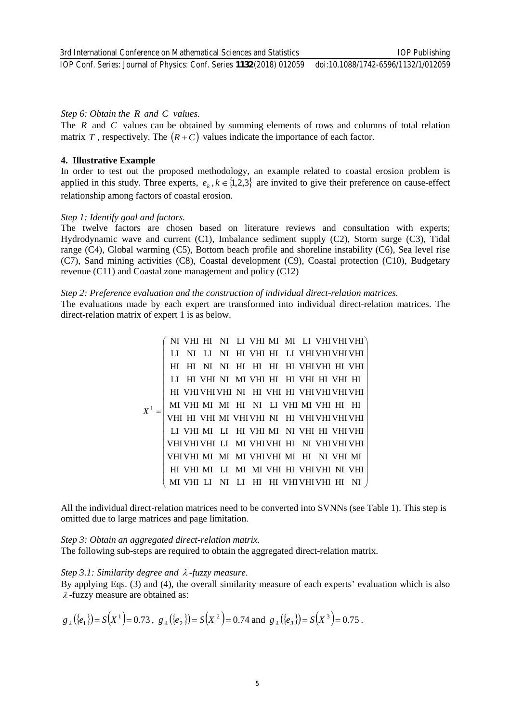IOP Conf. Series: Journal of Physics: Conf. Series **1132** (2018) 012059 doi:10.1088/1742-6596/1132/1/012059

#### *Step 6: Obtain the R and C values.*

The *R* and *C* values can be obtained by summing elements of rows and columns of total relation matrix *T* , respectively. The  $(R+C)$  values indicate the importance of each factor.

#### **4. Illustrative Example**

In order to test out the proposed methodology, an example related to coastal erosion problem is applied in this study. Three experts,  $e_k$ ,  $k \in \{1,2,3\}$  are invited to give their preference on cause-effect relationship among factors of coastal erosion.

#### *Step 1: Identify goal and factors.*

The twelve factors are chosen based on literature reviews and consultation with experts; Hydrodynamic wave and current (C1), Imbalance sediment supply (C2), Storm surge (C3), Tidal range (C4), Global warming (C5), Bottom beach profile and shoreline instability (C6), Sea level rise (C7), Sand mining activities (C8), Coastal development (C9), Coastal protection (C10), Budgetary revenue (C11) and Coastal zone management and policy (C12)

#### *Step 2: Preference evaluation and the construction of individual direct-relation matrices.*

The evaluations made by each expert are transformed into individual direct-relation matrices. The direct-relation matrix of expert 1 is as below.

$$
X^{1} = \left(\begin{array}{ccccccccc} \text{NI VH HI} & \text{NI LI VHMI} & \text{MI LI VHI VHI VHI VHI} \\ \text{LI NI LI NI HI VHI HI HI LI VHIVHIVHIVHI} \\ \text{HI HI NI NI MI HI HI HI TH VHI TH I VHI HI HII} \\ \text{LI HI VHI NI MI VHI HI HI TH I VHI TH I VHI HI} \\ \text{HI VHI VHI MII HI VI HI VHI VHI VHI VHI} \\ \text{MI VHI MI MI HI NI LI VHI MI TH I VHI VHI VHI TH} \\ \text{VHI HI HI IHI VHI VHI NH I HI I VHI VHI VHI VHI} \\ \text{LI VHI MI LI HI VHI WHI NI HI VHI VHI VHI VHI} \\ \text{VHI VHI VI HI LI MI VHI VHI HI NI VHI VHI VHI} \\ \text{VHI VHI MI MI MI VHI VHI THI NI VHI VHI MI} \\ \text{HI VHI VMI MI MI MI VHI VHI THI VHI VHI MI} \\ \text{HI VHI MI HI HI VHI VHI THI VHI VHI NH I} \\ \text{MI VHI MI LI MI MI VHI THI VHI VHI THI VHI} \\ \text{MI VHI HI LI HI HII VHI VHI THI NHI NHI HII NI} \end{array} \right)
$$

All the individual direct-relation matrices need to be converted into SVNNs (see Table 1). This step is omitted due to large matrices and page limitation.

*Step 3: Obtain an aggregated direct-relation matrix.*  The following sub-steps are required to obtain the aggregated direct-relation matrix.

#### *Step 3.1: Similarity degree and* <sup>λ</sup> *-fuzzy measure.*

By applying Eqs. (3) and (4), the overall similarity measure of each experts' evaluation which is also <sup>λ</sup> -fuzzy measure are obtained as:

$$
g_{\lambda}(\{e_1\}) = S(X^1) = 0.73
$$
,  $g_{\lambda}(\{e_2\}) = S(X^2) = 0.74$  and  $g_{\lambda}(\{e_3\}) = S(X^3) = 0.75$ .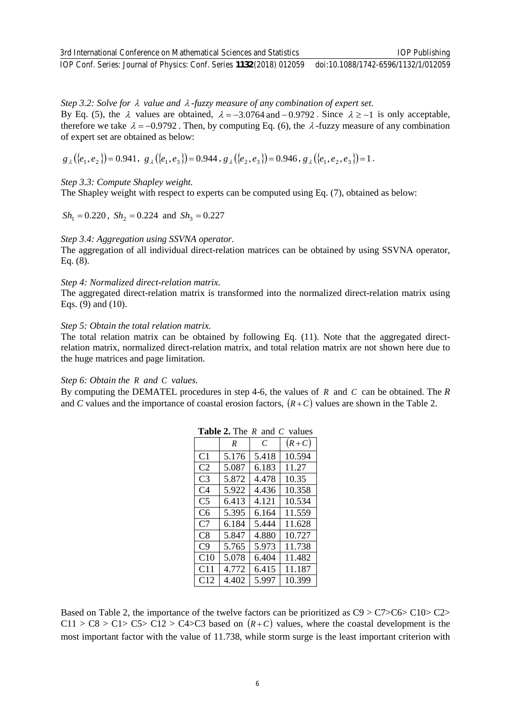3rd International Conference on Mathematical Sciences and Statistics IOP Conf. Series: Journal of Physics: Conf. Series **1132** (2018) 012059 IOP Publishing doi:10.1088/1742-6596/1132/1/012059

*Step 3.2: Solve for* <sup>λ</sup> *value and* <sup>λ</sup> *-fuzzy measure of any combination of expert set.*  By Eq. (5), the  $\lambda$  values are obtained,  $\lambda = -3.0764$  and  $-0.9792$ . Since  $\lambda \ge -1$  is only acceptable, therefore we take  $\lambda = -0.9792$ . Then, by computing Eq. (6), the  $\lambda$ -fuzzy measure of any combination of expert set are obtained as below:

 $g_{\lambda}({e_1, e_2}) = 0.941, g_{\lambda}({e_1, e_3}) = 0.944, g_{\lambda}({e_2, e_3}) = 0.946, g_{\lambda}({e_1, e_2, e_3}) = 1.$ 

*Step 3.3: Compute Shapley weight.* 

The Shapley weight with respect to experts can be computed using Eq. (7), obtained as below:

 $Sh_1 = 0.220$ ,  $Sh_2 = 0.224$  and  $Sh_3 = 0.227$ 

#### *Step 3.4: Aggregation using SSVNA operator.*

The aggregation of all individual direct-relation matrices can be obtained by using SSVNA operator, Eq. (8).

#### *Step 4: Normalized direct-relation matrix.*

The aggregated direct-relation matrix is transformed into the normalized direct-relation matrix using Eqs. (9) and (10).

#### *Step 5: Obtain the total relation matrix.*

The total relation matrix can be obtained by following Eq. (11). Note that the aggregated directrelation matrix, normalized direct-relation matrix, and total relation matrix are not shown here due to the huge matrices and page limitation.

#### *Step 6: Obtain the R and C values.*

By computing the DEMATEL procedures in step 4-6, the values of *R* and *C* can be obtained. The *R* and *C* values and the importance of coastal erosion factors,  $(R+C)$  values are shown in the Table 2.

|                | .     |       |         |  |
|----------------|-------|-------|---------|--|
|                | R     | C     | $(R+C)$ |  |
| C <sub>1</sub> | 5.176 | 5.418 | 10.594  |  |
| C <sub>2</sub> | 5.087 | 6.183 | 11.27   |  |
| C <sub>3</sub> | 5.872 | 4.478 | 10.35   |  |
| C4             | 5.922 | 4.436 | 10.358  |  |
| C5             | 6.413 | 4.121 | 10.534  |  |
| C6             | 5.395 | 6.164 | 11.559  |  |
| C <sub>7</sub> | 6.184 | 5.444 | 11.628  |  |
| C8             | 5.847 | 4.880 | 10.727  |  |
| C9             | 5.765 | 5.973 | 11.738  |  |
| C10            | 5.078 | 6.404 | 11.482  |  |
| C11            | 4.772 | 6.415 | 11.187  |  |
| C12            | 4.402 | 5.997 | 10.399  |  |

| <b>Table 2.</b> The $R$ and $C$ values |  |  |  |  |
|----------------------------------------|--|--|--|--|
|----------------------------------------|--|--|--|--|

Based on Table 2, the importance of the twelve factors can be prioritized as C9 > C7>C6> C10> C2>  $C11 > C8 > C1 > C5 > C12 > C4 > C3$  based on  $(R+C)$  values, where the coastal development is the most important factor with the value of 11.738, while storm surge is the least important criterion with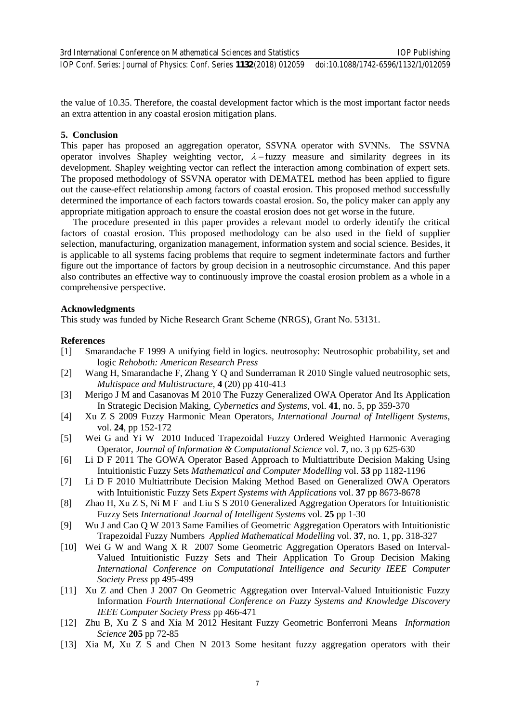the value of 10.35. Therefore, the coastal development factor which is the most important factor needs an extra attention in any coastal erosion mitigation plans.

#### **5. Conclusion**

This paper has proposed an aggregation operator, SSVNA operator with SVNNs. The SSVNA operator involves Shapley weighting vector,  $\lambda$  – fuzzy measure and similarity degrees in its development. Shapley weighting vector can reflect the interaction among combination of expert sets. The proposed methodology of SSVNA operator with DEMATEL method has been applied to figure out the cause-effect relationship among factors of coastal erosion. This proposed method successfully determined the importance of each factors towards coastal erosion. So, the policy maker can apply any appropriate mitigation approach to ensure the coastal erosion does not get worse in the future.

The procedure presented in this paper provides a relevant model to orderly identify the critical factors of coastal erosion. This proposed methodology can be also used in the field of supplier selection, manufacturing, organization management, information system and social science. Besides, it is applicable to all systems facing problems that require to segment indeterminate factors and further figure out the importance of factors by group decision in a neutrosophic circumstance. And this paper also contributes an effective way to continuously improve the coastal erosion problem as a whole in a comprehensive perspective.

#### **Acknowledgments**

This study was funded by Niche Research Grant Scheme (NRGS), Grant No. 53131.

#### **References**

- [1] Smarandache F 1999 A unifying field in logics. neutrosophy: Neutrosophic probability, set and logic *Rehoboth: American Research Press*
- [2] Wang H, Smarandache F, Zhang Y Q and Sunderraman R 2010 Single valued neutrosophic sets, *Multispace and Multistructure*, **4** (20) pp 410-413
- [3] Merigo J M and Casanovas M 2010 The Fuzzy Generalized OWA Operator And Its Application In Strategic Decision Making*, Cybernetics and Systems*, vol. **41**, no. 5, pp 359-370
- [4] Xu Z S 2009 Fuzzy Harmonic Mean Operators*, International Journal of Intelligent Systems*, vol. **24**, pp 152-172
- [5] Wei G and Yi W 2010 Induced Trapezoidal Fuzzy Ordered Weighted Harmonic Averaging Operator, *Journal of Information & Computational Science* vol. **7**, no. 3 pp 625-630
- [6] Li D F 2011 The GOWA Operator Based Approach to Multiattribute Decision Making Using Intuitionistic Fuzzy Sets *Mathematical and Computer Modelling* vol. **53** pp 1182-1196
- [7] Li D F 2010 Multiattribute Decision Making Method Based on Generalized OWA Operators with Intuitionistic Fuzzy Sets *Expert Systems with Applications* vol. **37** pp 8673-8678
- [8] Zhao H, Xu Z S, Ni M F and Liu S S 2010 Generalized Aggregation Operators for Intuitionistic Fuzzy Sets *International Journal of Intelligent Systems* vol. **25** pp 1-30
- [9] Wu J and Cao Q W 2013 Same Families of Geometric Aggregation Operators with Intuitionistic Trapezoidal Fuzzy Numbers *Applied Mathematical Modelling* vol. **37**, no. 1, pp. 318-327
- [10] Wei G W and Wang X R 2007 Some Geometric Aggregation Operators Based on Interval-Valued Intuitionistic Fuzzy Sets and Their Application To Group Decision Making *International Conference on Computational Intelligence and Security IEEE Computer Society Press* pp 495-499
- [11] Xu Z and Chen J 2007 On Geometric Aggregation over Interval-Valued Intuitionistic Fuzzy Information *Fourth International Conference on Fuzzy Systems and Knowledge Discovery IEEE Computer Society Press* pp 466-471
- [12] Zhu B, Xu Z S and Xia M 2012 Hesitant Fuzzy Geometric Bonferroni Means *Information Science* **205** pp 72-85
- [13] Xia M, Xu Z S and Chen N 2013 Some hesitant fuzzy aggregation operators with their